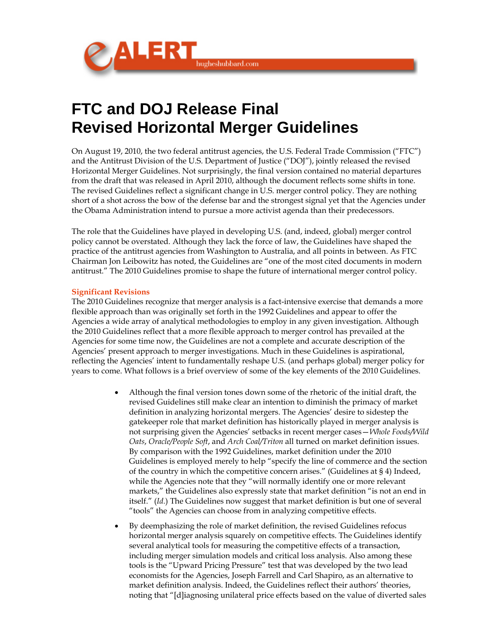

# **FTC and DOJ Release Final Revised Horizontal Merger Guidelines**

On August 19, 2010, the two federal antitrust agencies, the U.S. Federal Trade Commission ("FTC") and the Antitrust Division of the U.S. Department of Justice ("DOJ"), jointly released the revised Horizontal Merger Guidelines. Not surprisingly, the final version contained no material departures from the draft that was released in April 2010, although the document reflects some shifts in tone. The revised Guidelines reflect a significant change in U.S. merger control policy. They are nothing short of a shot across the bow of the defense bar and the strongest signal yet that the Agencies under the Obama Administration intend to pursue a more activist agenda than their predecessors.

The role that the Guidelines have played in developing U.S. (and, indeed, global) merger control policy cannot be overstated. Although they lack the force of law, the Guidelines have shaped the practice of the antitrust agencies from Washington to Australia, and all points in between. As FTC Chairman Jon Leibowitz has noted, the Guidelines are "one of the most cited documents in modern antitrust." The 2010 Guidelines promise to shape the future of international merger control policy.

#### **Significant Revisions**

The 2010 Guidelines recognize that merger analysis is a fact-intensive exercise that demands a more flexible approach than was originally set forth in the 1992 Guidelines and appear to offer the Agencies a wide array of analytical methodologies to employ in any given investigation. Although the 2010 Guidelines reflect that a more flexible approach to merger control has prevailed at the Agencies for some time now, the Guidelines are not a complete and accurate description of the Agencies' present approach to merger investigations. Much in these Guidelines is aspirational, reflecting the Agencies' intent to fundamentally reshape U.S. (and perhaps global) merger policy for years to come. What follows is a brief overview of some of the key elements of the 2010 Guidelines.

- Although the final version tones down some of the rhetoric of the initial draft, the revised Guidelines still make clear an intention to diminish the primacy of market definition in analyzing horizontal mergers. The Agencies' desire to sidestep the gatekeeper role that market definition has historically played in merger analysis is not surprising given the Agencies' setbacks in recent merger cases—*Whole Foods/Wild Oats*, *Oracle/People Soft*, and *Arch Coal/Triton* all turned on market definition issues. By comparison with the 1992 Guidelines, market definition under the 2010 Guidelines is employed merely to help "specify the line of commerce and the section of the country in which the competitive concern arises." (Guidelines at § 4) Indeed, while the Agencies note that they "will normally identify one or more relevant markets," the Guidelines also expressly state that market definition "is not an end in itself." (*Id.*) The Guidelines now suggest that market definition is but one of several "tools" the Agencies can choose from in analyzing competitive effects.
- By deemphasizing the role of market definition, the revised Guidelines refocus horizontal merger analysis squarely on competitive effects. The Guidelines identify several analytical tools for measuring the competitive effects of a transaction, including merger simulation models and critical loss analysis. Also among these tools is the "Upward Pricing Pressure" test that was developed by the two lead economists for the Agencies, Joseph Farrell and Carl Shapiro, as an alternative to market definition analysis. Indeed, the Guidelines reflect their authors' theories, noting that "[d]iagnosing unilateral price effects based on the value of diverted sales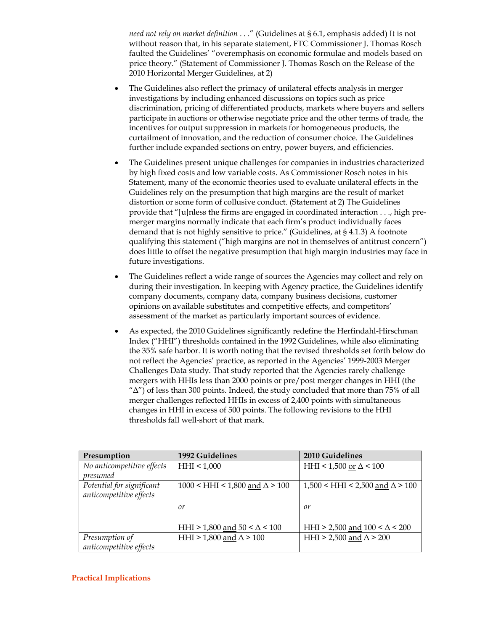*need not rely on market definition* . . ." (Guidelines at § 6.1, emphasis added) It is not without reason that, in his separate statement, FTC Commissioner J. Thomas Rosch faulted the Guidelines' "overemphasis on economic formulae and models based on price theory." (Statement of Commissioner J. Thomas Rosch on the Release of the 2010 Horizontal Merger Guidelines, at 2)

- The Guidelines also reflect the primacy of unilateral effects analysis in merger investigations by including enhanced discussions on topics such as price discrimination, pricing of differentiated products, markets where buyers and sellers participate in auctions or otherwise negotiate price and the other terms of trade, the incentives for output suppression in markets for homogeneous products, the curtailment of innovation, and the reduction of consumer choice. The Guidelines further include expanded sections on entry, power buyers, and efficiencies.
- The Guidelines present unique challenges for companies in industries characterized by high fixed costs and low variable costs. As Commissioner Rosch notes in his Statement, many of the economic theories used to evaluate unilateral effects in the Guidelines rely on the presumption that high margins are the result of market distortion or some form of collusive conduct. (Statement at 2) The Guidelines provide that "[u]nless the firms are engaged in coordinated interaction . . ., high premerger margins normally indicate that each firm's product individually faces demand that is not highly sensitive to price." (Guidelines, at § 4.1.3) A footnote qualifying this statement ("high margins are not in themselves of antitrust concern") does little to offset the negative presumption that high margin industries may face in future investigations.
- The Guidelines reflect a wide range of sources the Agencies may collect and rely on during their investigation. In keeping with Agency practice, the Guidelines identify company documents, company data, company business decisions, customer opinions on available substitutes and competitive effects, and competitors' assessment of the market as particularly important sources of evidence.
- As expected, the 2010 Guidelines significantly redefine the Herfindahl-Hirschman Index ("HHI") thresholds contained in the 1992 Guidelines, while also eliminating the 35% safe harbor. It is worth noting that the revised thresholds set forth below do not reflect the Agencies' practice, as reported in the Agencies' 1999-2003 Merger Challenges Data study. That study reported that the Agencies rarely challenge mergers with HHIs less than 2000 points or pre/post merger changes in HHI (the  $\Delta$ ") of less than 300 points. Indeed, the study concluded that more than 75% of all merger challenges reflected HHIs in excess of 2,400 points with simultaneous changes in HHI in excess of 500 points. The following revisions to the HHI thresholds fall well-short of that mark.

| Presumption                | 1992 Guidelines                               | 2010 Guidelines                                |
|----------------------------|-----------------------------------------------|------------------------------------------------|
| No anticompetitive effects | HHI < 1,000                                   | HHI < 1,500 or $\Delta$ < 100                  |
| presumed                   |                                               |                                                |
| Potential for significant  | $1000 \leq HHI \leq 1,800$ and $\Delta > 100$ | $1,500 \leq HHI \leq 2,500$ and $\Delta > 100$ |
| anticompetitive effects    |                                               |                                                |
|                            | or                                            | or                                             |
|                            |                                               |                                                |
|                            | HHI > 1,800 and $50 < \Delta < 100$           | HHI > 2,500 and $100 < \Delta < 200$           |
| Presumption of             | HHI > 1,800 and $\Delta$ > 100                | HHI > 2,500 and $\Delta$ > 200                 |
| anticompetitive effects    |                                               |                                                |

## **Practical Implications**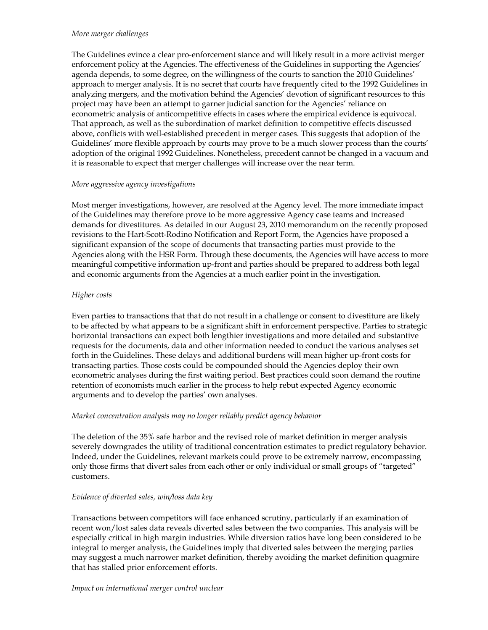#### *More merger challenges*

The Guidelines evince a clear pro-enforcement stance and will likely result in a more activist merger enforcement policy at the Agencies. The effectiveness of the Guidelines in supporting the Agencies' agenda depends, to some degree, on the willingness of the courts to sanction the 2010 Guidelines' approach to merger analysis. It is no secret that courts have frequently cited to the 1992 Guidelines in analyzing mergers, and the motivation behind the Agencies' devotion of significant resources to this project may have been an attempt to garner judicial sanction for the Agencies' reliance on econometric analysis of anticompetitive effects in cases where the empirical evidence is equivocal. That approach, as well as the subordination of market definition to competitive effects discussed above, conflicts with well-established precedent in merger cases. This suggests that adoption of the Guidelines' more flexible approach by courts may prove to be a much slower process than the courts' adoption of the original 1992 Guidelines. Nonetheless, precedent cannot be changed in a vacuum and it is reasonable to expect that merger challenges will increase over the near term.

## *More aggressive agency investigations*

Most merger investigations, however, are resolved at the Agency level. The more immediate impact of the Guidelines may therefore prove to be more aggressive Agency case teams and increased demands for divestitures. As detailed in our August 23, 2010 memorandum on the recently proposed revisions to the Hart-Scott-Rodino Notification and Report Form, the Agencies have proposed a significant expansion of the scope of documents that transacting parties must provide to the Agencies along with the HSR Form. Through these documents, the Agencies will have access to more meaningful competitive information up-front and parties should be prepared to address both legal and economic arguments from the Agencies at a much earlier point in the investigation.

## *Higher costs*

Even parties to transactions that that do not result in a challenge or consent to divestiture are likely to be affected by what appears to be a significant shift in enforcement perspective. Parties to strategic horizontal transactions can expect both lengthier investigations and more detailed and substantive requests for the documents, data and other information needed to conduct the various analyses set forth in the Guidelines. These delays and additional burdens will mean higher up-front costs for transacting parties. Those costs could be compounded should the Agencies deploy their own econometric analyses during the first waiting period. Best practices could soon demand the routine retention of economists much earlier in the process to help rebut expected Agency economic arguments and to develop the parties' own analyses.

## *Market concentration analysis may no longer reliably predict agency behavior*

The deletion of the 35% safe harbor and the revised role of market definition in merger analysis severely downgrades the utility of traditional concentration estimates to predict regulatory behavior. Indeed, under the Guidelines, relevant markets could prove to be extremely narrow, encompassing only those firms that divert sales from each other or only individual or small groups of "targeted" customers.

## *Evidence of diverted sales, win/loss data key*

Transactions between competitors will face enhanced scrutiny, particularly if an examination of recent won/lost sales data reveals diverted sales between the two companies. This analysis will be especially critical in high margin industries. While diversion ratios have long been considered to be integral to merger analysis, the Guidelines imply that diverted sales between the merging parties may suggest a much narrower market definition, thereby avoiding the market definition quagmire that has stalled prior enforcement efforts.